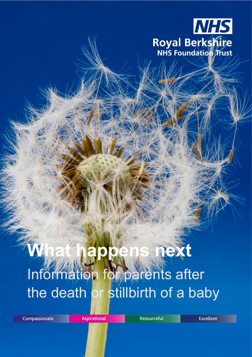

# **Yext** Information for parents after the death or stillbirth of a baby

Compassionate

Aspirational

Resourceful

**Excellent**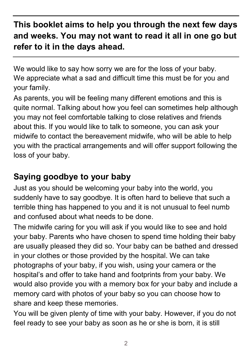## **This booklet aims to help you through the next few days and weeks. You may not want to read it all in one go but refer to it in the days ahead.**

We would like to say how sorry we are for the loss of your baby. We appreciate what a sad and difficult time this must be for you and your family.

As parents, you will be feeling many different emotions and this is quite normal. Talking about how you feel can sometimes help although you may not feel comfortable talking to close relatives and friends about this. If you would like to talk to someone, you can ask your midwife to contact the bereavement midwife, who will be able to help you with the practical arrangements and will offer support following the loss of your baby.

## **Saying goodbye to your baby**

Just as you should be welcoming your baby into the world, you suddenly have to say goodbye. It is often hard to believe that such a terrible thing has happened to you and it is not unusual to feel numb and confused about what needs to be done.

The midwife caring for you will ask if you would like to see and hold your baby. Parents who have chosen to spend time holding their baby are usually pleased they did so. Your baby can be bathed and dressed in your clothes or those provided by the hospital. We can take photographs of your baby, if you wish, using your camera or the hospital's and offer to take hand and footprints from your baby. We would also provide you with a memory box for your baby and include a memory card with photos of your baby so you can choose how to share and keep these memories.

You will be given plenty of time with your baby. However, if you do not feel ready to see your baby as soon as he or she is born, it is still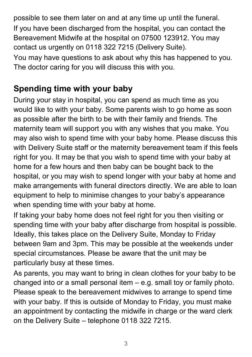possible to see them later on and at any time up until the funeral. If you have been discharged from the hospital, you can contact the Bereavement Midwife at the hospital on 07500 123912. You may contact us urgently on 0118 322 7215 (Delivery Suite). You may have questions to ask about why this has happened to you. The doctor caring for you will discuss this with you.

## **Spending time with your baby**

During your stay in hospital, you can spend as much time as you would like to with your baby. Some parents wish to go home as soon as possible after the birth to be with their family and friends. The maternity team will support you with any wishes that you make. You may also wish to spend time with your baby home. Please discuss this with Delivery Suite staff or the maternity bereavement team if this feels right for you. It may be that you wish to spend time with your baby at home for a few hours and then baby can be bought back to the hospital, or you may wish to spend longer with your baby at home and make arrangements with funeral directors directly. We are able to loan equipment to help to minimise changes to your baby's appearance when spending time with your baby at home.

If taking your baby home does not feel right for you then visiting or spending time with your baby after discharge from hospital is possible. Ideally, this takes place on the Delivery Suite, Monday to Friday between 9am and 3pm. This may be possible at the weekends under special circumstances. Please be aware that the unit may be particularly busy at these times.

As parents, you may want to bring in clean clothes for your baby to be changed into or a small personal item – e.g. small toy or family photo. Please speak to the bereavement midwives to arrange to spend time with your baby. If this is outside of Monday to Friday, you must make an appointment by contacting the midwife in charge or the ward clerk on the Delivery Suite – telephone 0118 322 7215.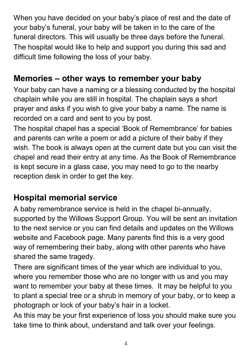When you have decided on your baby's place of rest and the date of your baby's funeral, your baby will be taken in to the care of the funeral directors. This will usually be three days before the funeral. The hospital would like to help and support you during this sad and difficult time following the loss of your baby.

## **Memories – other ways to remember your baby**

Your baby can have a naming or a blessing conducted by the hospital chaplain while you are still in hospital. The chaplain says a short prayer and asks if you wish to give your baby a name. The name is recorded on a card and sent to you by post.

The hospital chapel has a special 'Book of Remembrance' for babies and parents can write a poem or add a picture of their baby if they wish. The book is always open at the current date but you can visit the chapel and read their entry at any time. As the Book of Remembrance is kept secure in a glass case, you may need to go to the nearby reception desk in order to get the key.

## **Hospital memorial service**

A baby remembrance service is held in the chapel bi-annually, supported by the Willows Support Group. You will be sent an invitation to the next service or you can find details and updates on the Willows website and Facebook page. Many parents find this is a very good way of remembering their baby, along with other parents who have shared the same tragedy.

There are significant times of the year which are individual to you, where you remember those who are no longer with us and you may want to remember your baby at these times. It may be helpful to you to plant a special tree or a shrub in memory of your baby, or to keep a photograph or lock of your baby's hair in a locket.

As this may be your first experience of loss you should make sure you take time to think about, understand and talk over your feelings.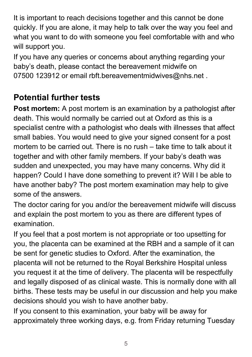It is important to reach decisions together and this cannot be done quickly. If you are alone, it may help to talk over the way you feel and what you want to do with someone you feel comfortable with and who will support you.

If you have any queries or concerns about anything regarding your baby's death, please contact the bereavement midwife on 07500 123912 or email rbft.bereavementmidwives@nhs.net.

## **Potential further tests**

**Post mortem:** A post mortem is an examination by a pathologist after death. This would normally be carried out at Oxford as this is a specialist centre with a pathologist who deals with illnesses that affect small babies. You would need to give your signed consent for a post mortem to be carried out. There is no rush – take time to talk about it together and with other family members. If your baby's death was sudden and unexpected, you may have many concerns. Why did it happen? Could I have done something to prevent it? Will I be able to have another baby? The post mortem examination may help to give some of the answers.

The doctor caring for you and/or the bereavement midwife will discuss and explain the post mortem to you as there are different types of examination.

If you feel that a post mortem is not appropriate or too upsetting for you, the placenta can be examined at the RBH and a sample of it can be sent for genetic studies to Oxford. After the examination, the placenta will not be returned to the Royal Berkshire Hospital unless you request it at the time of delivery. The placenta will be respectfully and legally disposed of as clinical waste. This is normally done with all births. These tests may be useful in our discussion and help you make decisions should you wish to have another baby.

If you consent to this examination, your baby will be away for approximately three working days, e.g. from Friday returning Tuesday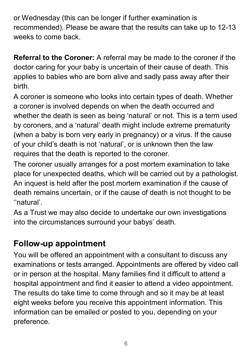or Wednesday (this can be longer if further examination is recommended). Please be aware that the results can take up to 12-13 weeks to come back.

**Referral to the Coroner:** A referral may be made to the coroner if the doctor caring for your baby is uncertain of their cause of death. This applies to babies who are born alive and sadly pass away after their birth.

A coroner is someone who looks into certain types of death. Whether a coroner is involved depends on when the death occurred and whether the death is seen as being 'natural' or not. This is a term used by coroners, and a 'natural' death might include extreme prematurity (when a baby is born very early in pregnancy) or a virus. If the cause of your child's death is not 'natural', or is unknown then the law requires that the death is reported to the coroner.

The coroner usually arranges for a post mortem examination to take place for unexpected deaths, which will be carried out by a pathologist. An inquest is held after the post mortem examination if the cause of death remains uncertain, or if the cause of death is not thought to be ''natural'.

As a Trust we may also decide to undertake our own investigations into the circumstances surround your babys' death.

## **Follow-up appointment**

You will be offered an appointment with a consultant to discuss any examinations or tests arranged. Appointments are offered by video call or in person at the hospital. Many families find it difficult to attend a hospital appointment and find it easier to attend a video appointment. The results do take time to come through and so it may be at least eight weeks before you receive this appointment information. This information can be emailed or posted to you, depending on your preference.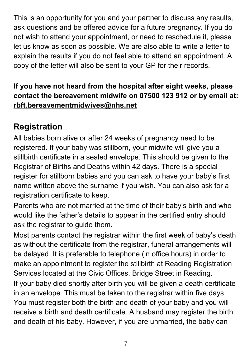This is an opportunity for you and your partner to discuss any results, ask questions and be offered advice for a future pregnancy. If you do not wish to attend your appointment, or need to reschedule it, please let us know as soon as possible. We are also able to write a letter to explain the results if you do not feel able to attend an appointment. A copy of the letter will also be sent to your GP for their records.

#### **If you have not heard from the hospital after eight weeks, please contact the bereavement midwife on 07500 123 912 or by email at: [rbft.bereavementmidwives@nhs.net](mailto:rbft.bereavementmidwives@nhs.net)**

## **Registration**

All babies born alive or after 24 weeks of pregnancy need to be registered. If your baby was stillborn, your midwife will give you a stillbirth certificate in a sealed envelope. This should be given to the Registrar of Births and Deaths within 42 days. There is a special register for stillborn babies and you can ask to have your baby's first name written above the surname if you wish. You can also ask for a registration certificate to keep.

Parents who are not married at the time of their baby's birth and who would like the father's details to appear in the certified entry should ask the registrar to guide them.

Most parents contact the registrar within the first week of baby's death as without the certificate from the registrar, funeral arrangements will be delayed. It is preferable to telephone (in office hours) in order to make an appointment to register the stillbirth at Reading Registration Services located at the Civic Offices, Bridge Street in Reading. If your baby died shortly after birth you will be given a death certificate in an envelope. This must be taken to the registrar within five days. You must register both the birth and death of your baby and you will receive a birth and death certificate. A husband may register the birth and death of his baby. However, if you are unmarried, the baby can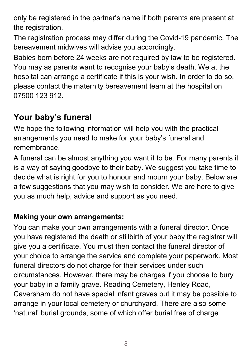only be registered in the partner's name if both parents are present at the registration.

The registration process may differ during the Covid-19 pandemic. The bereavement midwives will advise you accordingly.

Babies born before 24 weeks are not required by law to be registered. You may as parents want to recognise your baby's death. We at the hospital can arrange a certificate if this is your wish. In order to do so, please contact the maternity bereavement team at the hospital on 07500 123 912.

## **Your baby's funeral**

We hope the following information will help you with the practical arrangements you need to make for your baby's funeral and remembrance.

A funeral can be almost anything you want it to be. For many parents it is a way of saying goodbye to their baby. We suggest you take time to decide what is right for you to honour and mourn your baby. Below are a few suggestions that you may wish to consider. We are here to give you as much help, advice and support as you need.

#### **Making your own arrangements:**

You can make your own arrangements with a funeral director. Once you have registered the death or stillbirth of your baby the registrar will give you a certificate. You must then contact the funeral director of your choice to arrange the service and complete your paperwork. Most funeral directors do not charge for their services under such circumstances. However, there may be charges if you choose to bury your baby in a family grave. Reading Cemetery, Henley Road, Caversham do not have special infant graves but it may be possible to arrange in your local cemetery or churchyard. There are also some 'natural' burial grounds, some of which offer burial free of charge.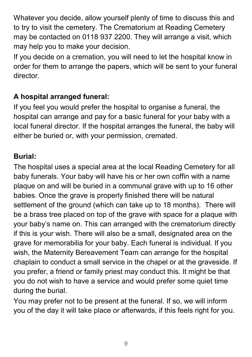Whatever you decide, allow yourself plenty of time to discuss this and to try to visit the cemetery. The Crematorium at Reading Cemetery may be contacted on 0118 937 2200. They will arrange a visit, which may help you to make your decision.

If you decide on a cremation, you will need to let the hospital know in order for them to arrange the papers, which will be sent to your funeral director.

#### **A hospital arranged funeral:**

If you feel you would prefer the hospital to organise a funeral, the hospital can arrange and pay for a basic funeral for your baby with a local funeral director. If the hospital arranges the funeral, the baby will either be buried or, with your permission, cremated.

#### **Burial:**

The hospital uses a special area at the local Reading Cemetery for all baby funerals. Your baby will have his or her own coffin with a name plaque on and will be buried in a communal grave with up to 16 other babies. Once the grave is properly finished there will be natural settlement of the ground (which can take up to 18 months). There will be a brass tree placed on top of the grave with space for a plaque with your baby's name on. This can arranged with the crematorium directly if this is your wish. There will also be a small, designated area on the grave for memorabilia for your baby. Each funeral is individual. If you wish, the Maternity Bereavement Team can arrange for the hospital chaplain to conduct a small service in the chapel or at the graveside. If you prefer, a friend or family priest may conduct this. It might be that you do not wish to have a service and would prefer some quiet time during the burial.

You may prefer not to be present at the funeral. If so, we will inform you of the day it will take place or afterwards, if this feels right for you.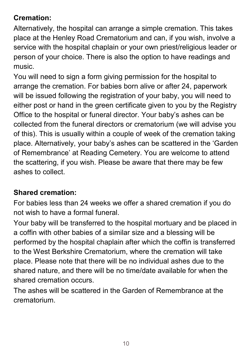#### **Cremation:**

Alternatively, the hospital can arrange a simple cremation. This takes place at the Henley Road Crematorium and can, if you wish, involve a service with the hospital chaplain or your own priest/religious leader or person of your choice. There is also the option to have readings and music.

You will need to sign a form giving permission for the hospital to arrange the cremation. For babies born alive or after 24, paperwork will be issued following the registration of your baby, you will need to either post or hand in the green certificate given to you by the Registry Office to the hospital or funeral director. Your baby's ashes can be collected from the funeral directors or crematorium (we will advise you of this). This is usually within a couple of week of the cremation taking place. Alternatively, your baby's ashes can be scattered in the 'Garden of Remembrance' at Reading Cemetery. You are welcome to attend the scattering, if you wish. Please be aware that there may be few ashes to collect.

#### **Shared cremation:**

For babies less than 24 weeks we offer a shared cremation if you do not wish to have a formal funeral.

Your baby will be transferred to the hospital mortuary and be placed in a coffin with other babies of a similar size and a blessing will be performed by the hospital chaplain after which the coffin is transferred to the West Berkshire Crematorium, where the cremation will take place. Please note that there will be no individual ashes due to the shared nature, and there will be no time/date available for when the shared cremation occurs.

The ashes will be scattered in the Garden of Remembrance at the crematorium.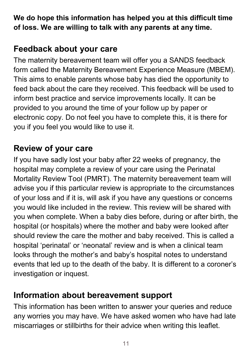**We do hope this information has helped you at this difficult time of loss. We are willing to talk with any parents at any time.**

## **Feedback about your care**

The maternity bereavement team will offer you a SANDS feedback form called the Maternity Bereavement Experience Measure (MBEM). This aims to enable parents whose baby has died the opportunity to feed back about the care they received. This feedback will be used to inform best practice and service improvements locally. It can be provided to you around the time of your follow up by paper or electronic copy. Do not feel you have to complete this, it is there for you if you feel you would like to use it.

## **Review of your care**

If you have sadly lost your baby after 22 weeks of pregnancy, the hospital may complete a review of your care using the Perinatal Mortality Review Tool (PMRT). The maternity bereavement team will advise you if this particular review is appropriate to the circumstances of your loss and if it is, will ask if you have any questions or concerns you would like included in the review. This review will be shared with you when complete. When a baby dies before, during or after birth, the hospital (or hospitals) where the mother and baby were looked after should review the care the mother and baby received. This is called a hospital 'perinatal' or 'neonatal' review and is when a clinical team looks through the mother's and baby's hospital notes to understand events that led up to the death of the baby. It is different to a coroner's investigation or inquest.

## **Information about bereavement support**

This information has been written to answer your queries and reduce any worries you may have. We have asked women who have had late miscarriages or stillbirths for their advice when writing this leaflet.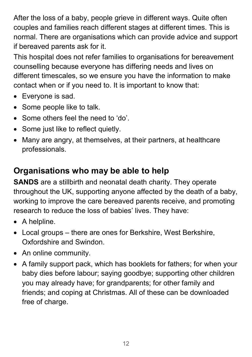After the loss of a baby, people grieve in different ways. Quite often couples and families reach different stages at different times. This is normal. There are organisations which can provide advice and support if bereaved parents ask for it.

This hospital does not refer families to organisations for bereavement counselling because everyone has differing needs and lives on different timescales, so we ensure you have the information to make contact when or if you need to. It is important to know that:

- Everyone is sad.
- Some people like to talk.
- Some others feel the need to 'do'.
- Some just like to reflect quietly.
- Many are angry, at themselves, at their partners, at healthcare professionals.

## **Organisations who may be able to help**

**SANDS** are a stillbirth and neonatal death charity. They operate throughout the UK, supporting anyone affected by the death of a baby, working to improve the care bereaved parents receive, and promoting research to reduce the loss of babies' lives. They have:

- A helpline.
- Local groups there are ones for Berkshire, West Berkshire, Oxfordshire and Swindon.
- An online community.
- A family support pack, which has booklets for fathers; for when your baby dies before labour; saying goodbye; supporting other children you may already have; for grandparents; for other family and friends; and coping at Christmas. All of these can be downloaded free of charge.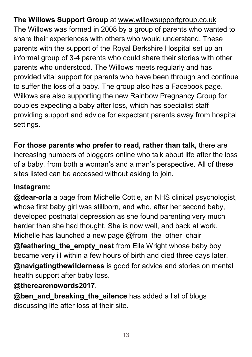**The Willows Support Group** at [www.willowsupportgroup.co.uk](http://www.willowsupportgroup.co.uk/) The Willows was formed in 2008 by a group of parents who wanted to share their experiences with others who would understand. These parents with the support of the Royal Berkshire Hospital set up an informal group of 3-4 parents who could share their stories with other parents who understood. The Willows meets regularly and has provided vital support for parents who have been through and continue to suffer the loss of a baby. The group also has a Facebook page. Willows are also supporting the new Rainbow Pregnancy Group for couples expecting a baby after loss, which has specialist staff providing support and advice for expectant parents away from hospital settings.

**For those parents who prefer to read, rather than talk,** there are increasing numbers of bloggers online who talk about life after the loss of a baby, from both a woman's and a man's perspective. All of these sites listed can be accessed without asking to join.

#### **Instagram:**

**@dear-orla** a page from Michelle Cottle, an NHS clinical psychologist, whose first baby girl was stillborn, and who, after her second baby, developed postnatal depression as she found parenting very much harder than she had thought. She is now well, and back at work. Michelle has launched a new page  $@$  from the other chair **@feathering the empty nest** from Elle Wright whose baby boy became very ill within a few hours of birth and died three days later. **@navigatingthewilderness** is good for advice and stories on mental

health support after baby loss.

#### **@therearenowords2017**.

**@ben\_and\_breaking\_the\_silence** has added a list of blogs discussing life after loss at their site.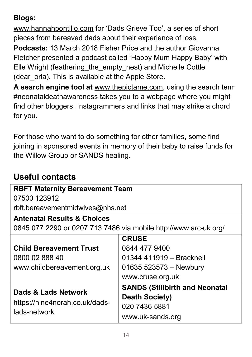#### **Blogs:**

[www.hannahpontillo.com](http://www.hannahpontillo.com/) for 'Dads Grieve Too', a series of short pieces from bereaved dads about their experience of loss.

**Podcasts:** 13 March 2018 Fisher Price and the author Giovanna Fletcher presented a podcast called 'Happy Mum Happy Baby' with Elle Wright (feathering the empty nest) and Michelle Cottle (dear orla). This is available at the Apple Store.

**A search engine tool at** [www.thepictame.com,](http://www.thepictame.com/) using the search term #neonataldeathawareness takes you to a webpage where you might find other bloggers, Instagrammers and links that may strike a chord for you.

For those who want to do something for other families, some find joining in sponsored events in memory of their baby to raise funds for the Willow Group or SANDS healing.

## **Useful contacts**

| <b>RBFT Maternity Bereavement Team</b>                                |                                       |  |
|-----------------------------------------------------------------------|---------------------------------------|--|
| 07500 123912                                                          |                                       |  |
| rbft.bereavementmidwives@nhs.net                                      |                                       |  |
| <b>Antenatal Results &amp; Choices</b>                                |                                       |  |
| 0845 077 2290 or 0207 713 7486 via mobile http://www.arc-uk.org/      |                                       |  |
|                                                                       | <b>CRUSE</b>                          |  |
| <b>Child Bereavement Trust</b>                                        | 0844 477 9400                         |  |
| 0800 02 888 40                                                        | 01344 411919 - Bracknell              |  |
| www.childbereavement.org.uk                                           | 01635 523573 - Newbury                |  |
|                                                                       | www.cruse.org.uk                      |  |
| Dads & Lads Network<br>https://nine4norah.co.uk/dads-<br>lads-network | <b>SANDS (Stillbirth and Neonatal</b> |  |
|                                                                       | <b>Death Society)</b>                 |  |
|                                                                       | 020 7436 5881                         |  |
|                                                                       | www.uk-sands.org                      |  |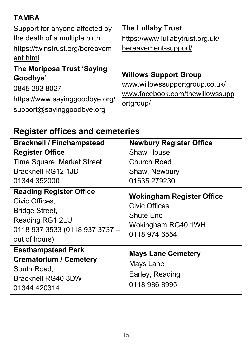| <b>TAMBA</b><br>Support for anyone affected by<br>the death of a multiple birth<br>https://twinstrust.org/bereavem<br>ent.html | <b>The Lullaby Trust</b><br>https://www.lullabytrust.org.uk/<br>bereavement-support/                           |
|--------------------------------------------------------------------------------------------------------------------------------|----------------------------------------------------------------------------------------------------------------|
| <b>The Mariposa Trust 'Saying</b><br>Goodbye'<br>0845 293 8027<br>https://www.sayinggoodbye.org/<br>support@sayinggoodbye.org  | <b>Willows Support Group</b><br>www.willowssupportgroup.co.uk/<br>www.facebook.com/thewillowssupp<br>ortgroup/ |

## **Register offices and cemeteries**

| <b>Bracknell / Finchampstead</b>                                                                                                                | <b>Newbury Register Office</b>                                                                                      |
|-------------------------------------------------------------------------------------------------------------------------------------------------|---------------------------------------------------------------------------------------------------------------------|
| <b>Register Office</b>                                                                                                                          | Shaw House                                                                                                          |
| <b>Time Square, Market Street</b><br>Bracknell RG12 1JD<br>01344 352000                                                                         | <b>Church Road</b><br>Shaw, Newbury<br>01635 279230                                                                 |
| <b>Reading Register Office</b><br>Civic Offices,<br><b>Bridge Street,</b><br>Reading RG1 2LU<br>0118 937 3533 (0118 937 3737 -<br>out of hours) | <b>Wokingham Register Office</b><br><b>Civic Offices</b><br><b>Shute End</b><br>Wokingham RG40 1WH<br>0118 974 6554 |
| <b>Easthampstead Park</b><br><b>Crematorium / Cemetery</b><br>South Road,<br><b>Bracknell RG40 3DW</b><br>01344 420314                          | <b>Mays Lane Cemetery</b><br>Mays Lane<br>Earley, Reading<br>0118 986 8995                                          |